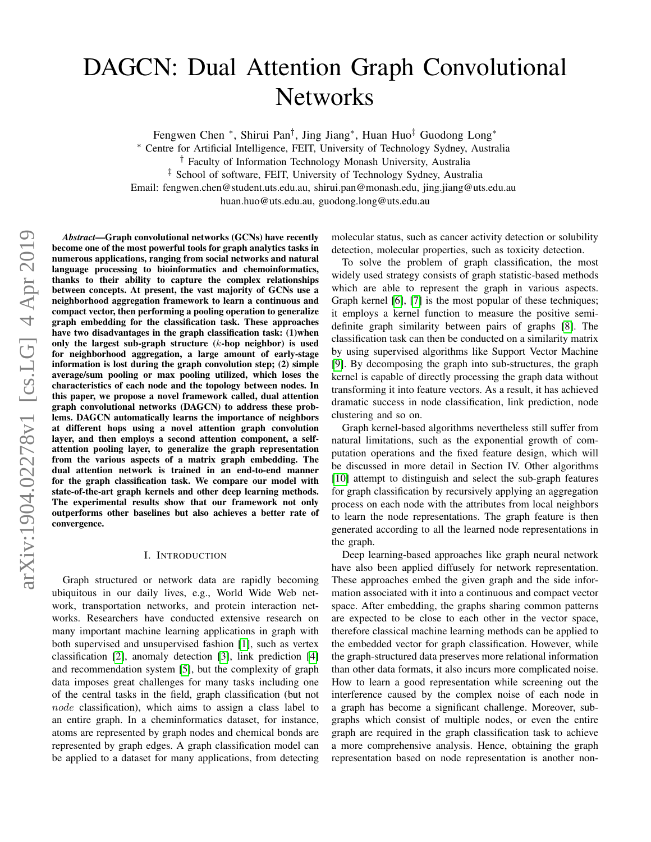# DAGCN: Dual Attention Graph Convolutional Networks

Fengwen Chen \*, Shirui Pan<sup>†</sup>, Jing Jiang\*, Huan Huo<sup>‡</sup> Guodong Long\*

<sup>∗</sup> Centre for Artificial Intelligence, FEIT, University of Technology Sydney, Australia

† Faculty of Information Technology Monash University, Australia

‡ School of software, FEIT, University of Technology Sydney, Australia

Email: fengwen.chen@student.uts.edu.au, shirui.pan@monash.edu, jing.jiang@uts.edu.au

huan.huo@uts.edu.au, guodong.long@uts.edu.au

*Abstract*—Graph convolutional networks (GCNs) have recently become one of the most powerful tools for graph analytics tasks in numerous applications, ranging from social networks and natural language processing to bioinformatics and chemoinformatics, thanks to their ability to capture the complex relationships between concepts. At present, the vast majority of GCNs use a neighborhood aggregation framework to learn a continuous and compact vector, then performing a pooling operation to generalize graph embedding for the classification task. These approaches have two disadvantages in the graph classification task: (1)when only the largest sub-graph structure  $(k$ -hop neighbor) is used for neighborhood aggregation, a large amount of early-stage information is lost during the graph convolution step; (2) simple average/sum pooling or max pooling utilized, which loses the characteristics of each node and the topology between nodes. In this paper, we propose a novel framework called, dual attention graph convolutional networks (DAGCN) to address these problems. DAGCN automatically learns the importance of neighbors at different hops using a novel attention graph convolution layer, and then employs a second attention component, a selfattention pooling layer, to generalize the graph representation from the various aspects of a matrix graph embedding. The dual attention network is trained in an end-to-end manner for the graph classification task. We compare our model with state-of-the-art graph kernels and other deep learning methods. The experimental results show that our framework not only outperforms other baselines but also achieves a better rate of convergence.

## I. INTRODUCTION

Graph structured or network data are rapidly becoming ubiquitous in our daily lives, e.g., World Wide Web network, transportation networks, and protein interaction networks. Researchers have conducted extensive research on many important machine learning applications in graph with both supervised and unsupervised fashion [\[1\]](#page-6-0), such as vertex classification [\[2\]](#page-6-1), anomaly detection [\[3\]](#page-6-2), link prediction [\[4\]](#page-6-3) and recommendation system [\[5\]](#page-6-4), but the complexity of graph data imposes great challenges for many tasks including one of the central tasks in the field, graph classification (but not node classification), which aims to assign a class label to an entire graph. In a cheminformatics dataset, for instance, atoms are represented by graph nodes and chemical bonds are represented by graph edges. A graph classification model can be applied to a dataset for many applications, from detecting molecular status, such as cancer activity detection or solubility detection, molecular properties, such as toxicity detection.

To solve the problem of graph classification, the most widely used strategy consists of graph statistic-based methods which are able to represent the graph in various aspects. Graph kernel [\[6\]](#page-6-5), [\[7\]](#page-6-6) is the most popular of these techniques; it employs a kernel function to measure the positive semidefinite graph similarity between pairs of graphs [\[8\]](#page-6-7). The classification task can then be conducted on a similarity matrix by using supervised algorithms like Support Vector Machine [\[9\]](#page-6-8). By decomposing the graph into sub-structures, the graph kernel is capable of directly processing the graph data without transforming it into feature vectors. As a result, it has achieved dramatic success in node classification, link prediction, node clustering and so on.

Graph kernel-based algorithms nevertheless still suffer from natural limitations, such as the exponential growth of computation operations and the fixed feature design, which will be discussed in more detail in Section IV. Other algorithms [\[10\]](#page-6-9) attempt to distinguish and select the sub-graph features for graph classification by recursively applying an aggregation process on each node with the attributes from local neighbors to learn the node representations. The graph feature is then generated according to all the learned node representations in the graph.

Deep learning-based approaches like graph neural network have also been applied diffusely for network representation. These approaches embed the given graph and the side information associated with it into a continuous and compact vector space. After embedding, the graphs sharing common patterns are expected to be close to each other in the vector space, therefore classical machine learning methods can be applied to the embedded vector for graph classification. However, while the graph-structured data preserves more relational information than other data formats, it also incurs more complicated noise. How to learn a good representation while screening out the interference caused by the complex noise of each node in a graph has become a significant challenge. Moreover, subgraphs which consist of multiple nodes, or even the entire graph are required in the graph classification task to achieve a more comprehensive analysis. Hence, obtaining the graph representation based on node representation is another non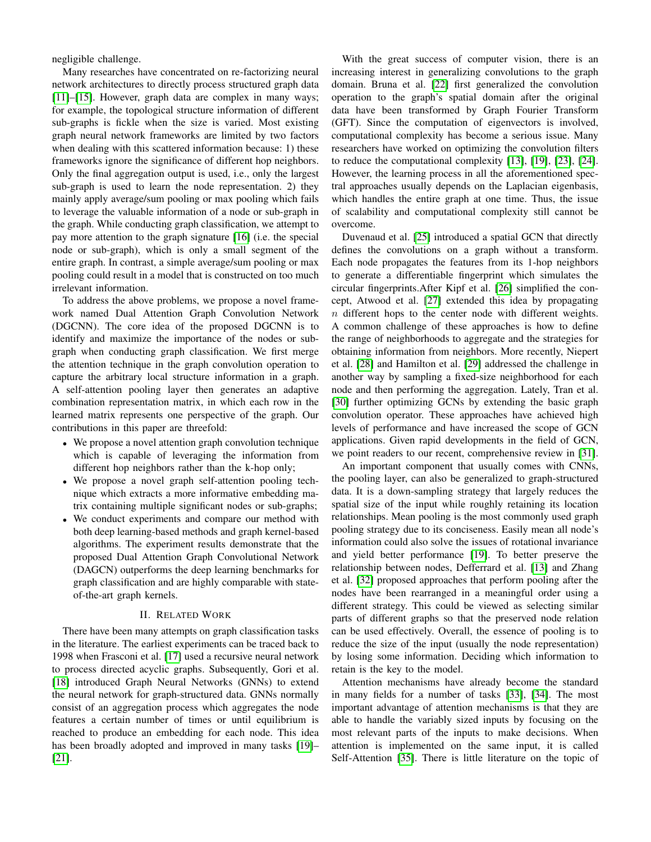negligible challenge.

Many researches have concentrated on re-factorizing neural network architectures to directly process structured graph data [\[11\]](#page-6-10)–[\[15\]](#page-7-0). However, graph data are complex in many ways; for example, the topological structure information of different sub-graphs is fickle when the size is varied. Most existing graph neural network frameworks are limited by two factors when dealing with this scattered information because: 1) these frameworks ignore the significance of different hop neighbors. Only the final aggregation output is used, i.e., only the largest sub-graph is used to learn the node representation. 2) they mainly apply average/sum pooling or max pooling which fails to leverage the valuable information of a node or sub-graph in the graph. While conducting graph classification, we attempt to pay more attention to the graph signature [\[16\]](#page-7-1) (i.e. the special node or sub-graph), which is only a small segment of the entire graph. In contrast, a simple average/sum pooling or max pooling could result in a model that is constructed on too much irrelevant information.

To address the above problems, we propose a novel framework named Dual Attention Graph Convolution Network (DGCNN). The core idea of the proposed DGCNN is to identify and maximize the importance of the nodes or subgraph when conducting graph classification. We first merge the attention technique in the graph convolution operation to capture the arbitrary local structure information in a graph. A self-attention pooling layer then generates an adaptive combination representation matrix, in which each row in the learned matrix represents one perspective of the graph. Our contributions in this paper are threefold:

- We propose a novel attention graph convolution technique which is capable of leveraging the information from different hop neighbors rather than the k-hop only;
- We propose a novel graph self-attention pooling technique which extracts a more informative embedding matrix containing multiple significant nodes or sub-graphs;
- We conduct experiments and compare our method with both deep learning-based methods and graph kernel-based algorithms. The experiment results demonstrate that the proposed Dual Attention Graph Convolutional Network (DAGCN) outperforms the deep learning benchmarks for graph classification and are highly comparable with stateof-the-art graph kernels.

# II. RELATED WORK

There have been many attempts on graph classification tasks in the literature. The earliest experiments can be traced back to 1998 when Frasconi et al. [\[17\]](#page-7-2) used a recursive neural network to process directed acyclic graphs. Subsequently, Gori et al. [\[18\]](#page-7-3) introduced Graph Neural Networks (GNNs) to extend the neural network for graph-structured data. GNNs normally consist of an aggregation process which aggregates the node features a certain number of times or until equilibrium is reached to produce an embedding for each node. This idea has been broadly adopted and improved in many tasks [\[19\]](#page-7-4)– [\[21\]](#page-7-5).

With the great success of computer vision, there is an increasing interest in generalizing convolutions to the graph domain. Bruna et al. [\[22\]](#page-7-6) first generalized the convolution operation to the graph's spatial domain after the original data have been transformed by Graph Fourier Transform (GFT). Since the computation of eigenvectors is involved, computational complexity has become a serious issue. Many researchers have worked on optimizing the convolution filters to reduce the computational complexity [\[13\]](#page-6-11), [\[19\]](#page-7-4), [\[23\]](#page-7-7), [\[24\]](#page-7-8). However, the learning process in all the aforementioned spectral approaches usually depends on the Laplacian eigenbasis, which handles the entire graph at one time. Thus, the issue of scalability and computational complexity still cannot be overcome.

Duvenaud et al. [\[25\]](#page-7-9) introduced a spatial GCN that directly defines the convolutions on a graph without a transform. Each node propagates the features from its 1-hop neighbors to generate a differentiable fingerprint which simulates the circular fingerprints.After Kipf et al. [\[26\]](#page-7-10) simplified the concept, Atwood et al. [\[27\]](#page-7-11) extended this idea by propagating n different hops to the center node with different weights. A common challenge of these approaches is how to define the range of neighborhoods to aggregate and the strategies for obtaining information from neighbors. More recently, Niepert et al. [\[28\]](#page-7-12) and Hamilton et al. [\[29\]](#page-7-13) addressed the challenge in another way by sampling a fixed-size neighborhood for each node and then performing the aggregation. Lately, Tran et al. [\[30\]](#page-7-14) further optimizing GCNs by extending the basic graph convolution operator. These approaches have achieved high levels of performance and have increased the scope of GCN applications. Given rapid developments in the field of GCN, we point readers to our recent, comprehensive review in [\[31\]](#page-7-15).

An important component that usually comes with CNNs, the pooling layer, can also be generalized to graph-structured data. It is a down-sampling strategy that largely reduces the spatial size of the input while roughly retaining its location relationships. Mean pooling is the most commonly used graph pooling strategy due to its conciseness. Easily mean all node's information could also solve the issues of rotational invariance and yield better performance [\[19\]](#page-7-4). To better preserve the relationship between nodes, Defferrard et al. [\[13\]](#page-6-11) and Zhang et al. [\[32\]](#page-7-16) proposed approaches that perform pooling after the nodes have been rearranged in a meaningful order using a different strategy. This could be viewed as selecting similar parts of different graphs so that the preserved node relation can be used effectively. Overall, the essence of pooling is to reduce the size of the input (usually the node representation) by losing some information. Deciding which information to retain is the key to the model.

Attention mechanisms have already become the standard in many fields for a number of tasks [\[33\]](#page-7-17), [\[34\]](#page-7-18). The most important advantage of attention mechanisms is that they are able to handle the variably sized inputs by focusing on the most relevant parts of the inputs to make decisions. When attention is implemented on the same input, it is called Self-Attention [\[35\]](#page-7-19). There is little literature on the topic of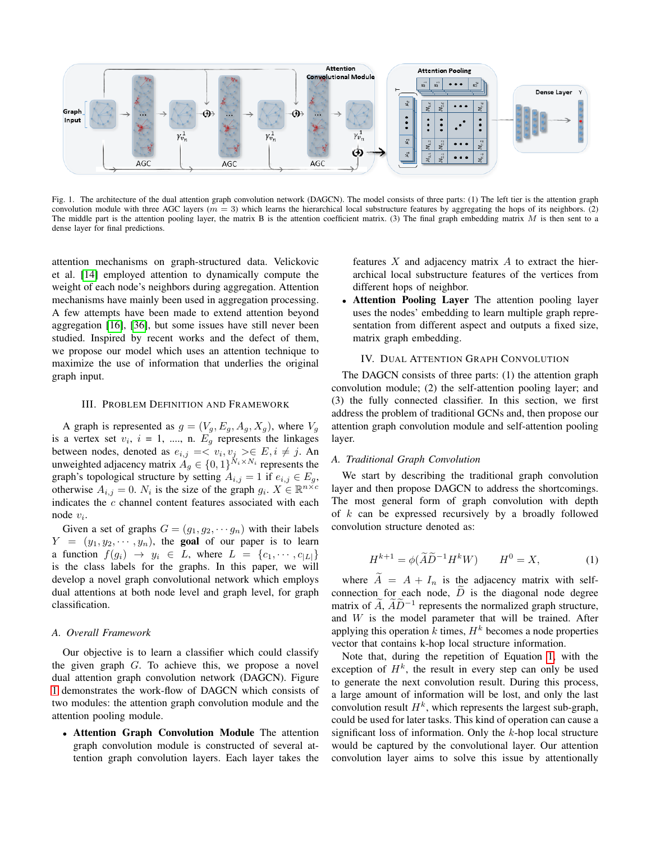

<span id="page-2-0"></span>Fig. 1. The architecture of the dual attention graph convolution network (DAGCN). The model consists of three parts: (1) The left tier is the attention graph convolution module with three AGC layers  $(m = 3)$  which learns the hierarchical local substructure features by aggregating the hops of its neighbors. (2) The middle part is the attention pooling layer, the matrix B is the attention coefficient matrix. (3) The final graph embedding matrix  $M$  is then sent to a dense layer for final predictions.

attention mechanisms on graph-structured data. Velickovic et al. [\[14\]](#page-7-20) employed attention to dynamically compute the weight of each node's neighbors during aggregation. Attention mechanisms have mainly been used in aggregation processing. A few attempts have been made to extend attention beyond aggregation [\[16\]](#page-7-1), [\[36\]](#page-7-21), but some issues have still never been studied. Inspired by recent works and the defect of them, we propose our model which uses an attention technique to maximize the use of information that underlies the original graph input.

# III. PROBLEM DEFINITION AND FRAMEWORK

A graph is represented as  $g = (V_g, E_g, A_g, X_g)$ , where  $V_g$ is a vertex set  $v_i$ ,  $i = 1, \dots, n$ .  $E_g$  represents the linkages between nodes, denoted as  $e_{i,j} = \langle v_i, v_j \rangle \in E, i \neq j$ . An unweighted adjacency matrix  $A_g \in \{0,1\}^{N_i \times N_i}$  represents the graph's topological structure by setting  $A_{i,j} = 1$  if  $e_{i,j} \in E_g$ , otherwise  $A_{i,j} = 0$ .  $N_i$  is the size of the graph  $g_i$ .  $X \in \mathbb{R}^{n \times c}$ indicates the  $c$  channel content features associated with each node  $v_i$ .

Given a set of graphs  $G = (g_1, g_2, \dots, g_n)$  with their labels  $Y = (y_1, y_2, \dots, y_n)$ , the **goal** of our paper is to learn a function  $f(g_i) \rightarrow y_i \in L$ , where  $L = \{c_1, \dots, c_{|L|}\}\$ is the class labels for the graphs. In this paper, we will develop a novel graph convolutional network which employs dual attentions at both node level and graph level, for graph classification.

## *A. Overall Framework*

Our objective is to learn a classifier which could classify the given graph G. To achieve this, we propose a novel dual attention graph convolution network (DAGCN). Figure [1](#page-2-0) demonstrates the work-flow of DAGCN which consists of two modules: the attention graph convolution module and the attention pooling module.

• Attention Graph Convolution Module The attention graph convolution module is constructed of several attention graph convolution layers. Each layer takes the

features  $X$  and adjacency matrix  $A$  to extract the hierarchical local substructure features of the vertices from different hops of neighbor.

• Attention Pooling Layer The attention pooling layer uses the nodes' embedding to learn multiple graph representation from different aspect and outputs a fixed size, matrix graph embedding.

## IV. DUAL ATTENTION GRAPH CONVOLUTION

The DAGCN consists of three parts: (1) the attention graph convolution module; (2) the self-attention pooling layer; and (3) the fully connected classifier. In this section, we first address the problem of traditional GCNs and, then propose our attention graph convolution module and self-attention pooling layer.

#### *A. Traditional Graph Convolution*

We start by describing the traditional graph convolution layer and then propose DAGCN to address the shortcomings. The most general form of graph convolution with depth of  $k$  can be expressed recursively by a broadly followed convolution structure denoted as:

<span id="page-2-1"></span>
$$
H^{k+1} = \phi(\widetilde{A}\widetilde{D}^{-1}H^kW) \qquad H^0 = X,\tag{1}
$$

where  $\widetilde{A} = A + I_n$  is the adjacency matrix with selfconnection for each node,  $\overline{D}$  is the diagonal node degree matrix of  $\widetilde{A}$ ,  $\widetilde{A}D^{-1}$  represents the normalized graph structure, and  $W$  is the model parameter that will be trained. After applying this operation k times,  $H^k$  becomes a node properties vector that contains k-hop local structure information.

Note that, during the repetition of Equation [1,](#page-2-1) with the exception of  $H^k$ , the result in every step can only be used to generate the next convolution result. During this process, a large amount of information will be lost, and only the last convolution result  $H^k$ , which represents the largest sub-graph, could be used for later tasks. This kind of operation can cause a significant loss of information. Only the  $k$ -hop local structure would be captured by the convolutional layer. Our attention convolution layer aims to solve this issue by attentionally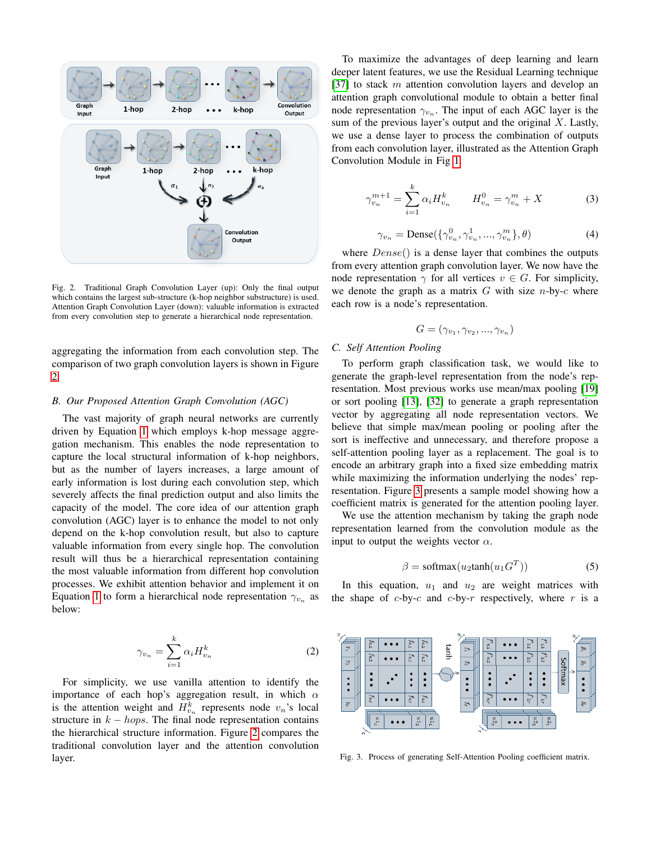

<span id="page-3-0"></span>Fig. 2. Traditional Graph Convolution Layer (up): Only the final output which contains the largest sub-structure (k-hop neighbor substructure) is used. Attention Graph Convolution Layer (down): valuable information is extracted from every convolution step to generate a hierarchical node representation.

aggregating the information from each convolution step. The comparison of two graph convolution layers is shown in Figure [2.](#page-3-0)

## *B. Our Proposed Attention Graph Convolution (AGC)*

The vast majority of graph neural networks are currently driven by Equation [1](#page-2-1) which employs k-hop message aggregation mechanism. This enables the node representation to capture the local structural information of k-hop neighbors, but as the number of layers increases, a large amount of early information is lost during each convolution step, which severely affects the final prediction output and also limits the capacity of the model. The core idea of our attention graph convolution (AGC) layer is to enhance the model to not only depend on the k-hop convolution result, but also to capture valuable information from every single hop. The convolution result will thus be a hierarchical representation containing the most valuable information from different hop convolution processes. We exhibit attention behavior and implement it on Equation [1](#page-2-1) to form a hierarchical node representation  $\gamma_{v_n}$  as below:

<span id="page-3-3"></span>
$$
\gamma_{v_n} = \sum_{i=1}^k \alpha_i H_{v_n}^k \tag{2}
$$

For simplicity, we use vanilla attention to identify the importance of each hop's aggregation result, in which  $\alpha$ is the attention weight and  $H_{v_n}^k$  represents node  $v_n$ 's local structure in  $k - hops$ . The final node representation contains the hierarchical structure information. Figure [2](#page-3-0) compares the traditional convolution layer and the attention convolution layer.

To maximize the advantages of deep learning and learn deeper latent features, we use the Residual Learning technique [\[37\]](#page-7-22) to stack  $m$  attention convolution layers and develop an attention graph convolutional module to obtain a better final node representation  $\gamma_{v_n}$ . The input of each AGC layer is the sum of the previous layer's output and the original  $X$ . Lastly, we use a dense layer to process the combination of outputs from each convolution layer, illustrated as the Attention Graph Convolution Module in Fig [1.](#page-2-0)

$$
\gamma_{v_n}^{m+1} = \sum_{i=1}^{k} \alpha_i H_{v_n}^k \qquad H_{v_n}^0 = \gamma_{v_n}^m + X \tag{3}
$$

<span id="page-3-4"></span>
$$
\gamma_{v_n} = \text{Dense}(\{\gamma_{v_n}^0, \gamma_{v_n}^1, ..., \gamma_{v_n}^m\}, \theta) \tag{4}
$$

where  $Dense()$  is a dense layer that combines the outputs from every attention graph convolution layer. We now have the node representation  $\gamma$  for all vertices  $v \in G$ . For simplicity, we denote the graph as a matrix  $G$  with size  $n$ -by- $c$  where each row is a node's representation.

$$
G=(\gamma_{v_1},\gamma_{v_2},...,\gamma_{v_n})
$$

# *C. Self Attention Pooling*

To perform graph classification task, we would like to generate the graph-level representation from the node's representation. Most previous works use mean/max pooling [\[19\]](#page-7-4) or sort pooling [\[13\]](#page-6-11), [\[32\]](#page-7-16) to generate a graph representation vector by aggregating all node representation vectors. We believe that simple max/mean pooling or pooling after the sort is ineffective and unnecessary, and therefore propose a self-attention pooling layer as a replacement. The goal is to encode an arbitrary graph into a fixed size embedding matrix while maximizing the information underlying the nodes' representation. Figure [3](#page-3-1) presents a sample model showing how a coefficient matrix is generated for the attention pooling layer.

We use the attention mechanism by taking the graph node representation learned from the convolution module as the input to output the weights vector  $\alpha$ .

<span id="page-3-2"></span>
$$
\beta = \text{softmax}(u_2 \text{tanh}(u_1 G^T)) \tag{5}
$$

In this equation,  $u_1$  and  $u_2$  are weight matrices with the shape of  $c$ -by- $c$  and  $c$ -by- $r$  respectively, where  $r$  is a



<span id="page-3-1"></span>Fig. 3. Process of generating Self-Attention Pooling coefficient matrix.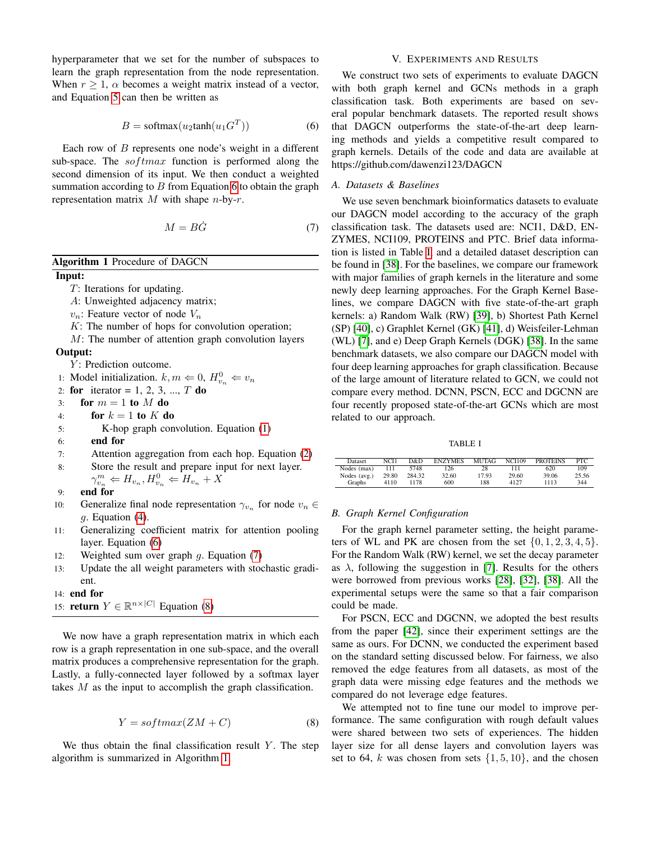hyperparameter that we set for the number of subspaces to learn the graph representation from the node representation. When  $r > 1$ ,  $\alpha$  becomes a weight matrix instead of a vector, and Equation [5](#page-3-2) can then be written as

<span id="page-4-0"></span>
$$
B = \text{softmax}(u_2 \text{tanh}(u_1 G^T))
$$
 (6)

Each row of  $B$  represents one node's weight in a different sub-space. The  $softmax$  function is performed along the second dimension of its input. We then conduct a weighted summation according to  $B$  from Equation [6](#page-4-0) to obtain the graph representation matrix  $M$  with shape  $n$ -by- $r$ .

<span id="page-4-1"></span>
$$
M = B\dot{G} \tag{7}
$$

<span id="page-4-3"></span>Algorithm 1 Procedure of DAGCN

# Input:

- T: Iterations for updating.
- A: Unweighted adjacency matrix;
- $v_n$ : Feature vector of node  $V_n$
- $K$ : The number of hops for convolution operation;

M: The number of attention graph convolution layers Output:

Y: Prediction outcome.

- 1: Model initialization.  $k, m \Leftarrow 0, H_{v_n}^0 \Leftarrow v_n$
- 2: **for** iterator = 1, 2, 3, ...,  $T$  **do**

3: for  $m = 1$  to  $M$  do

- 4: for  $k = 1$  to K do
- 5: K-hop graph convolution. Equation [\(1\)](#page-2-1)
- 6: end for
- 7: Attention aggregation from each hop. Equation [\(2\)](#page-3-3)
- 8: Store the result and prepare input for next layer.
	- $\gamma_{v_n}^m \Leftarrow H_{v_n}, H_{v_n}^0 \Leftarrow H_{v_n} + X$
- 9: end for
- 10: Generalize final node representation  $\gamma_{v_n}$  for node  $v_n \in$  $g.$  Equation [\(4\)](#page-3-4).
- 11: Generalizing coefficient matrix for attention pooling layer. Equation [\(6\)](#page-4-0)
- 12: Weighted sum over graph  $g$ . Equation  $(7)$
- 13: Update the all weight parameters with stochastic gradient.
- 14: end for

15: **return**  $Y \in \mathbb{R}^{n \times |C|}$  Equation [\(8\)](#page-4-2)

We now have a graph representation matrix in which each row is a graph representation in one sub-space, and the overall matrix produces a comprehensive representation for the graph. Lastly, a fully-connected layer followed by a softmax layer takes M as the input to accomplish the graph classification.

<span id="page-4-2"></span>
$$
Y = softmax(ZM + C)
$$
 (8)

We thus obtain the final classification result  $Y$ . The step algorithm is summarized in Algorithm [1](#page-4-3)

# V. EXPERIMENTS AND RESULTS

We construct two sets of experiments to evaluate DAGCN with both graph kernel and GCNs methods in a graph classification task. Both experiments are based on several popular benchmark datasets. The reported result shows that DAGCN outperforms the state-of-the-art deep learning methods and yields a competitive result compared to graph kernels. Details of the code and data are available at https://github.com/dawenzi123/DAGCN

## *A. Datasets & Baselines*

We use seven benchmark bioinformatics datasets to evaluate our DAGCN model according to the accuracy of the graph classification task. The datasets used are: NCI1, D&D, EN-ZYMES, NCI109, PROTEINS and PTC. Brief data information is listed in Table [I,](#page-4-4) and a detailed dataset description can be found in [\[38\]](#page-7-23). For the baselines, we compare our framework with major families of graph kernels in the literature and some newly deep learning approaches. For the Graph Kernel Baselines, we compare DAGCN with five state-of-the-art graph kernels: a) Random Walk (RW) [\[39\]](#page-7-24), b) Shortest Path Kernel (SP) [\[40\]](#page-7-25), c) Graphlet Kernel (GK) [\[41\]](#page-7-26), d) Weisfeiler-Lehman (WL) [\[7\]](#page-6-6), and e) Deep Graph Kernels (DGK) [\[38\]](#page-7-23). In the same benchmark datasets, we also compare our DAGCN model with four deep learning approaches for graph classification. Because of the large amount of literature related to GCN, we could not compare every method. DCNN, PSCN, ECC and DGCNN are four recently proposed state-of-the-art GCNs which are most related to our approach.

TABLE I

<span id="page-4-4"></span>

| Dataset      | NCH   | D&D    | <b>ENZYMES</b> | <b>MUTAG</b> | <b>NCI109</b> | <b>PROTEINS</b> | PTC:  |
|--------------|-------|--------|----------------|--------------|---------------|-----------------|-------|
| Nodes (max)  | 111   | 5748   | 126            | 28           | 111           | 620             | 109   |
| Nodes (avg.) | 29.80 | 284.32 | 32.60          | 17.93        | 29.60         | 39.06           | 25.56 |
| Graphs       | 4110  | 1178   | 600            | 188          | 4127          | 1113            | 344   |

## *B. Graph Kernel Configuration*

For the graph kernel parameter setting, the height parameters of WL and PK are chosen from the set  $\{0, 1, 2, 3, 4, 5\}.$ For the Random Walk (RW) kernel, we set the decay parameter as  $\lambda$ , following the suggestion in [\[7\]](#page-6-6). Results for the others were borrowed from previous works [\[28\]](#page-7-12), [\[32\]](#page-7-16), [\[38\]](#page-7-23). All the experimental setups were the same so that a fair comparison could be made.

For PSCN, ECC and DGCNN, we adopted the best results from the paper [\[42\]](#page-7-27), since their experiment settings are the same as ours. For DCNN, we conducted the experiment based on the standard setting discussed below. For fairness, we also removed the edge features from all datasets, as most of the graph data were missing edge features and the methods we compared do not leverage edge features.

We attempted not to fine tune our model to improve performance. The same configuration with rough default values were shared between two sets of experiences. The hidden layer size for all dense layers and convolution layers was set to 64, k was chosen from sets  $\{1, 5, 10\}$ , and the chosen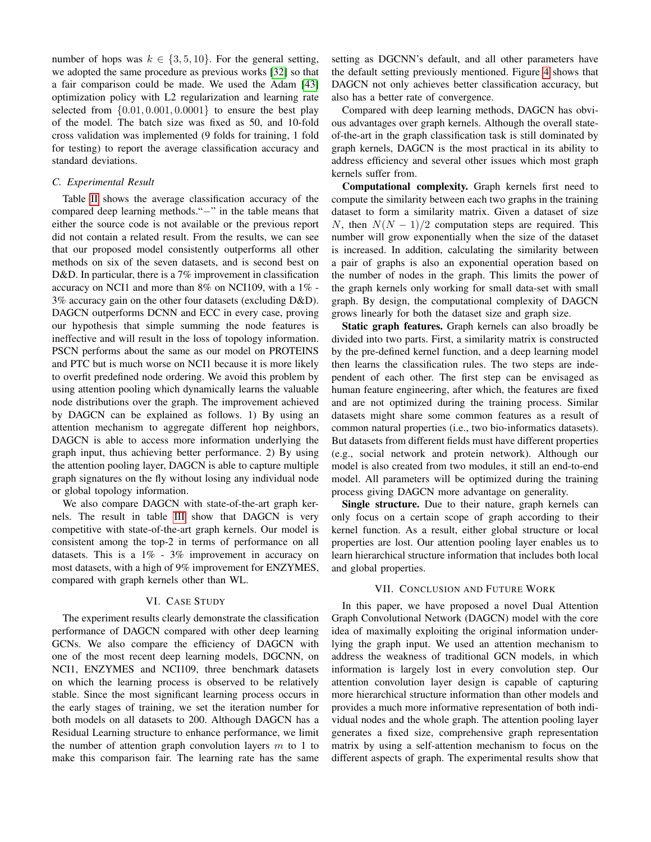number of hops was  $k \in \{3, 5, 10\}$ . For the general setting, we adopted the same procedure as previous works [\[32\]](#page-7-16) so that a fair comparison could be made. We used the Adam [\[43\]](#page-7-28) optimization policy with L2 regularization and learning rate selected from  $\{0.01, 0.001, 0.0001\}$  to ensure the best play of the model. The batch size was fixed as 50, and 10-fold cross validation was implemented (9 folds for training, 1 fold for testing) to report the average classification accuracy and standard deviations.

# *C. Experimental Result*

Table [II](#page-6-12) shows the average classification accuracy of the compared deep learning methods."−" in the table means that either the source code is not available or the previous report did not contain a related result. From the results, we can see that our proposed model consistently outperforms all other methods on six of the seven datasets, and is second best on D&D. In particular, there is a 7% improvement in classification accuracy on NCI1 and more than 8% on NCI109, with a 1% - 3% accuracy gain on the other four datasets (excluding D&D). DAGCN outperforms DCNN and ECC in every case, proving our hypothesis that simple summing the node features is ineffective and will result in the loss of topology information. PSCN performs about the same as our model on PROTEINS and PTC but is much worse on NCI1 because it is more likely to overfit predefined node ordering. We avoid this problem by using attention pooling which dynamically learns the valuable node distributions over the graph. The improvement achieved by DAGCN can be explained as follows. 1) By using an attention mechanism to aggregate different hop neighbors, DAGCN is able to access more information underlying the graph input, thus achieving better performance. 2) By using the attention pooling layer, DAGCN is able to capture multiple graph signatures on the fly without losing any individual node or global topology information.

We also compare DAGCN with state-of-the-art graph kernels. The result in table [III](#page-6-13) show that DAGCN is very competitive with state-of-the-art graph kernels. Our model is consistent among the top-2 in terms of performance on all datasets. This is a 1% - 3% improvement in accuracy on most datasets, with a high of 9% improvement for ENZYMES, compared with graph kernels other than WL.

# VI. CASE STUDY

The experiment results clearly demonstrate the classification performance of DAGCN compared with other deep learning GCNs. We also compare the efficiency of DAGCN with one of the most recent deep learning models, DGCNN, on NCI1, ENZYMES and NCI109, three benchmark datasets on which the learning process is observed to be relatively stable. Since the most significant learning process occurs in the early stages of training, we set the iteration number for both models on all datasets to 200. Although DAGCN has a Residual Learning structure to enhance performance, we limit the number of attention graph convolution layers  $m$  to 1 to make this comparison fair. The learning rate has the same setting as DGCNN's default, and all other parameters have the default setting previously mentioned. Figure [4](#page-6-14) shows that DAGCN not only achieves better classification accuracy, but also has a better rate of convergence.

Compared with deep learning methods, DAGCN has obvious advantages over graph kernels. Although the overall stateof-the-art in the graph classification task is still dominated by graph kernels, DAGCN is the most practical in its ability to address efficiency and several other issues which most graph kernels suffer from.

Computational complexity. Graph kernels first need to compute the similarity between each two graphs in the training dataset to form a similarity matrix. Given a dataset of size N, then  $N(N - 1)/2$  computation steps are required. This number will grow exponentially when the size of the dataset is increased. In addition, calculating the similarity between a pair of graphs is also an exponential operation based on the number of nodes in the graph. This limits the power of the graph kernels only working for small data-set with small graph. By design, the computational complexity of DAGCN grows linearly for both the dataset size and graph size.

Static graph features. Graph kernels can also broadly be divided into two parts. First, a similarity matrix is constructed by the pre-defined kernel function, and a deep learning model then learns the classification rules. The two steps are independent of each other. The first step can be envisaged as human feature engineering, after which, the features are fixed and are not optimized during the training process. Similar datasets might share some common features as a result of common natural properties (i.e., two bio-informatics datasets). But datasets from different fields must have different properties (e.g., social network and protein network). Although our model is also created from two modules, it still an end-to-end model. All parameters will be optimized during the training process giving DAGCN more advantage on generality.

Single structure. Due to their nature, graph kernels can only focus on a certain scope of graph according to their kernel function. As a result, either global structure or local properties are lost. Our attention pooling layer enables us to learn hierarchical structure information that includes both local and global properties.

# VII. CONCLUSION AND FUTURE WORK

In this paper, we have proposed a novel Dual Attention Graph Convolutional Network (DAGCN) model with the core idea of maximally exploiting the original information underlying the graph input. We used an attention mechanism to address the weakness of traditional GCN models, in which information is largely lost in every convolution step. Our attention convolution layer design is capable of capturing more hierarchical structure information than other models and provides a much more informative representation of both individual nodes and the whole graph. The attention pooling layer generates a fixed size, comprehensive graph representation matrix by using a self-attention mechanism to focus on the different aspects of graph. The experimental results show that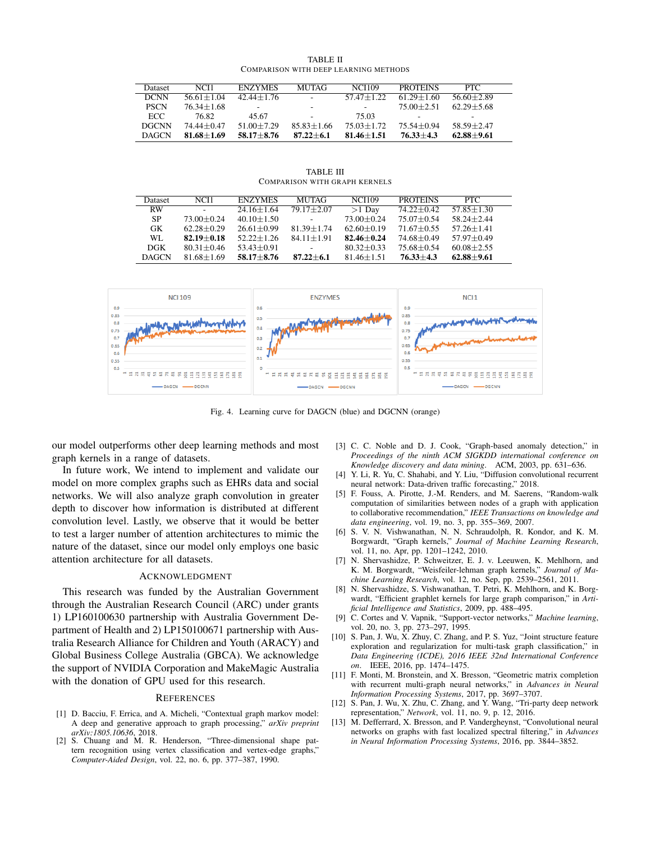| <b>TABLE II</b>                       |  |  |  |  |  |  |  |
|---------------------------------------|--|--|--|--|--|--|--|
| COMPARISON WITH DEEP LEARNING METHODS |  |  |  |  |  |  |  |

<span id="page-6-12"></span>

| Dataset      | NCI1           | <b>ENZYMES</b>           | <b>MUTAG</b>             | <b>NCI109</b>  | <b>PROTEINS</b>          | PTC.           |
|--------------|----------------|--------------------------|--------------------------|----------------|--------------------------|----------------|
| <b>DCNN</b>  | $56.61 + 1.04$ | $42.44 + 1.76$           | $\overline{\phantom{a}}$ | $5747 + 122$   | $61.29 + 1.60$           | $56.60 + 2.89$ |
| <b>PSCN</b>  | $76.34 + 1.68$ | $\overline{\phantom{a}}$ | -                        | -              | $75.00 + 2.51$           | $62.29 + 5.68$ |
| ECC.         | 76.82          | 45.67                    | $\overline{\phantom{a}}$ | 75.03          | $\overline{\phantom{a}}$ |                |
| <b>DGCNN</b> | 74 44 + 0.47   | $51.00 + 7.29$           | $85.83 + 1.66$           | $75.03 + 1.72$ | $75.54 + 0.94$           | $58.59 + 2.47$ |
| <b>DAGCN</b> | $81.68 + 1.69$ | $58.17 + 8.76$           | $87.22 + 6.1$            | $81.46 + 1.51$ | $76.33 + 4.3$            | $62.88 + 9.61$ |

TABLE III COMPARISON WITH GRAPH KERNELS

<span id="page-6-13"></span>

| <b>Dataset</b> | NCI1           | <b>ENZYMES</b> | <b>MUTAG</b>             | <b>NCI109</b>  | <b>PROTEINS</b> | PTC.           |
|----------------|----------------|----------------|--------------------------|----------------|-----------------|----------------|
| RW             | $\sim$         | $24.16 + 1.64$ | $79.17 + 2.07$           | $>1$ Day       | $74.22 + 0.42$  | $57.85 + 1.30$ |
| SP             | $73.00 + 0.24$ | $40.10 + 1.50$ | $\overline{\phantom{a}}$ | $73.00 + 0.24$ | $75.07 + 0.54$  | $58.24 + 2.44$ |
| GK.            | $62.28 + 0.29$ | $26.61 + 0.99$ | $81.39 \pm 1.74$         | $62.60 + 0.19$ | $71.67 + 0.55$  | $57.26 + 1.41$ |
| WL.            | $82.19 + 0.18$ | $52.22 + 1.26$ | $84.11 + 1.91$           | $82.46 + 0.24$ | $74.68 + 0.49$  | $57.97 + 0.49$ |
| DGK.           | $80.31 + 0.46$ | $53.43 + 0.91$ | $\overline{\phantom{a}}$ | $80.32 + 0.33$ | $75.68 + 0.54$  | $60.08 + 2.55$ |
| <b>DAGCN</b>   | $81.68 + 1.69$ | $58.17 + 8.76$ | $87.22 + 6.1$            | $81.46 + 1.51$ | $76.33 + 4.3$   | $62.88 + 9.61$ |



<span id="page-6-14"></span>Fig. 4. Learning curve for DAGCN (blue) and DGCNN (orange)

our model outperforms other deep learning methods and most graph kernels in a range of datasets.

In future work, We intend to implement and validate our model on more complex graphs such as EHRs data and social networks. We will also analyze graph convolution in greater depth to discover how information is distributed at different convolution level. Lastly, we observe that it would be better to test a larger number of attention architectures to mimic the nature of the dataset, since our model only employs one basic attention architecture for all datasets.

## ACKNOWLEDGMENT

This research was funded by the Australian Government through the Australian Research Council (ARC) under grants 1) LP160100630 partnership with Australia Government Department of Health and 2) LP150100671 partnership with Australia Research Alliance for Children and Youth (ARACY) and Global Business College Australia (GBCA). We acknowledge the support of NVIDIA Corporation and MakeMagic Australia with the donation of GPU used for this research.

#### **REFERENCES**

- <span id="page-6-0"></span>[1] D. Bacciu, F. Errica, and A. Micheli, "Contextual graph markov model: A deep and generative approach to graph processing," *arXiv preprint arXiv:1805.10636*, 2018.
- <span id="page-6-1"></span>[2] S. Chuang and M. R. Henderson, "Three-dimensional shape pattern recognition using vertex classification and vertex-edge graphs," *Computer-Aided Design*, vol. 22, no. 6, pp. 377–387, 1990.
- <span id="page-6-2"></span>[3] C. C. Noble and D. J. Cook, "Graph-based anomaly detection," in *Proceedings of the ninth ACM SIGKDD international conference on Knowledge discovery and data mining*. ACM, 2003, pp. 631–636.
- <span id="page-6-3"></span>[4] Y. Li, R. Yu, C. Shahabi, and Y. Liu, "Diffusion convolutional recurrent neural network: Data-driven traffic forecasting," 2018.
- <span id="page-6-4"></span>[5] F. Fouss, A. Pirotte, J.-M. Renders, and M. Saerens, "Random-walk computation of similarities between nodes of a graph with application to collaborative recommendation," *IEEE Transactions on knowledge and data engineering*, vol. 19, no. 3, pp. 355–369, 2007.
- <span id="page-6-5"></span>[6] S. V. N. Vishwanathan, N. N. Schraudolph, R. Kondor, and K. M. Borgwardt, "Graph kernels," *Journal of Machine Learning Research*, vol. 11, no. Apr, pp. 1201–1242, 2010.
- <span id="page-6-6"></span>[7] N. Shervashidze, P. Schweitzer, E. J. v. Leeuwen, K. Mehlhorn, and K. M. Borgwardt, "Weisfeiler-lehman graph kernels," *Journal of Machine Learning Research*, vol. 12, no. Sep, pp. 2539–2561, 2011.
- <span id="page-6-7"></span>[8] N. Shervashidze, S. Vishwanathan, T. Petri, K. Mehlhorn, and K. Borgwardt, "Efficient graphlet kernels for large graph comparison," in *Artificial Intelligence and Statistics*, 2009, pp. 488–495.
- <span id="page-6-8"></span>[9] C. Cortes and V. Vapnik, "Support-vector networks," *Machine learning*, vol. 20, no. 3, pp. 273–297, 1995.
- <span id="page-6-9"></span>[10] S. Pan, J. Wu, X. Zhuy, C. Zhang, and P. S. Yuz, "Joint structure feature exploration and regularization for multi-task graph classification," in *Data Engineering (ICDE), 2016 IEEE 32nd International Conference on*. IEEE, 2016, pp. 1474–1475.
- <span id="page-6-10"></span>[11] F. Monti, M. Bronstein, and X. Bresson, "Geometric matrix completion with recurrent multi-graph neural networks," in *Advances in Neural Information Processing Systems*, 2017, pp. 3697–3707.
- [12] S. Pan, J. Wu, X. Zhu, C. Zhang, and Y. Wang, "Tri-party deep network representation," *Network*, vol. 11, no. 9, p. 12, 2016.
- <span id="page-6-11"></span>[13] M. Defferrard, X. Bresson, and P. Vandergheynst, "Convolutional neural networks on graphs with fast localized spectral filtering," in *Advances in Neural Information Processing Systems*, 2016, pp. 3844–3852.